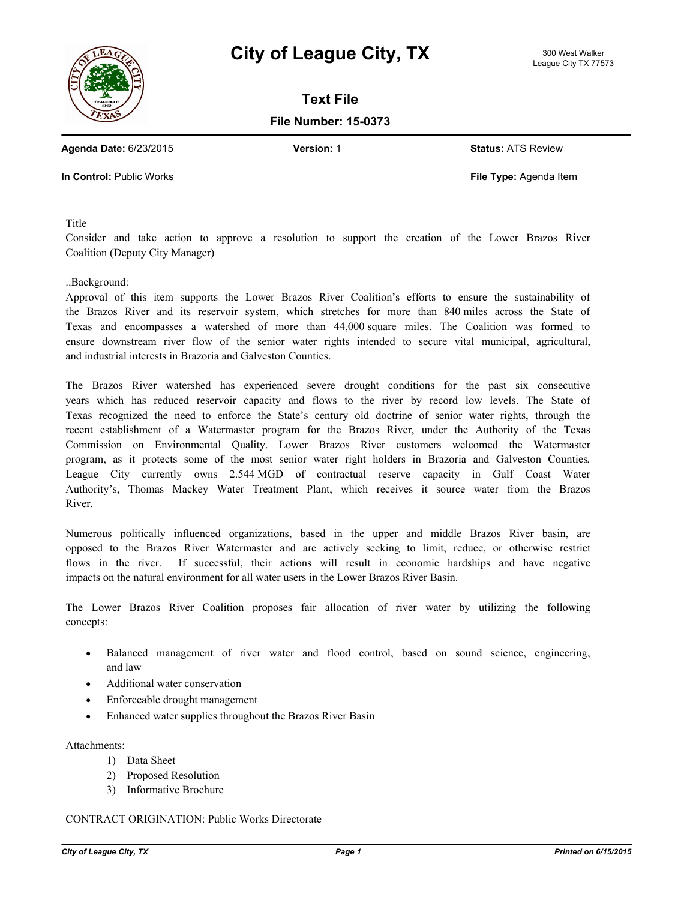



**Text File**

**File Number: 15-0373**

**Agenda Date:** 6/23/2015 **Version:** 1 **Status:** ATS Review

**In Control:** Public Works **File Type:** Agenda Item

Title

Consider and take action to approve a resolution to support the creation of the Lower Brazos River Coalition (Deputy City Manager)

## ..Background:

Approval of this item supports the Lower Brazos River Coalition's efforts to ensure the sustainability of the Brazos River and its reservoir system, which stretches for more than 840 miles across the State of Texas and encompasses a watershed of more than 44,000 square miles. The Coalition was formed to ensure downstream river flow of the senior water rights intended to secure vital municipal, agricultural, and industrial interests in Brazoria and Galveston Counties.

The Brazos River watershed has experienced severe drought conditions for the past six consecutive years which has reduced reservoir capacity and flows to the river by record low levels. The State of Texas recognized the need to enforce the State's century old doctrine of senior water rights, through the recent establishment of a Watermaster program for the Brazos River, under the Authority of the Texas Commission on Environmental Quality. Lower Brazos River customers welcomed the Watermaster program, as it protects some of the most senior water right holders in Brazoria and Galveston Counties. League City currently owns 2.544 MGD of contractual reserve capacity in Gulf Coast Water Authority's, Thomas Mackey Water Treatment Plant, which receives it source water from the Brazos River.

Numerous politically influenced organizations, based in the upper and middle Brazos River basin, are opposed to the Brazos River Watermaster and are actively seeking to limit, reduce, or otherwise restrict flows in the river. If successful, their actions will result in economic hardships and have negative impacts on the natural environment for all water users in the Lower Brazos River Basin.

The Lower Brazos River Coalition proposes fair allocation of river water by utilizing the following concepts:

- · Balanced management of river water and flood control, based on sound science, engineering, and law
- Additional water conservation
- · Enforceable drought management
- Enhanced water supplies throughout the Brazos River Basin

Attachments:

- 1) Data Sheet
- 2) Proposed Resolution
- 3) Informative Brochure

## CONTRACT ORIGINATION: Public Works Directorate